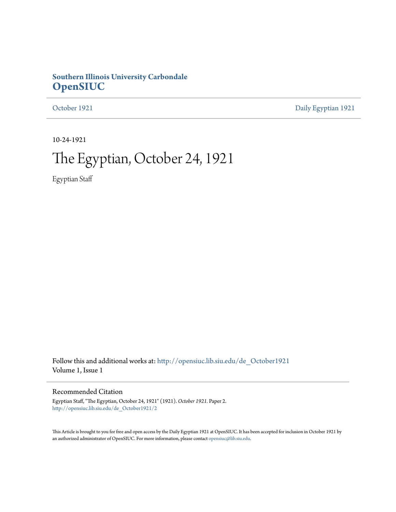### **Southern Illinois University Carbondale [OpenSIUC](http://opensiuc.lib.siu.edu?utm_source=opensiuc.lib.siu.edu%2Fde_October1921%2F2&utm_medium=PDF&utm_campaign=PDFCoverPages)**

[October 1921](http://opensiuc.lib.siu.edu/de_October1921?utm_source=opensiuc.lib.siu.edu%2Fde_October1921%2F2&utm_medium=PDF&utm_campaign=PDFCoverPages) [Daily Egyptian 1921](http://opensiuc.lib.siu.edu/de_1921?utm_source=opensiuc.lib.siu.edu%2Fde_October1921%2F2&utm_medium=PDF&utm_campaign=PDFCoverPages)

10-24-1921

## The Egyptian, October 24, 1921

Egyptian Staff

Follow this and additional works at: [http://opensiuc.lib.siu.edu/de\\_October1921](http://opensiuc.lib.siu.edu/de_October1921?utm_source=opensiuc.lib.siu.edu%2Fde_October1921%2F2&utm_medium=PDF&utm_campaign=PDFCoverPages) Volume 1, Issue 1

### Recommended Citation

Egyptian Staff, "The Egyptian, October 24, 1921" (1921). *October 1921.* Paper 2. [http://opensiuc.lib.siu.edu/de\\_October1921/2](http://opensiuc.lib.siu.edu/de_October1921/2?utm_source=opensiuc.lib.siu.edu%2Fde_October1921%2F2&utm_medium=PDF&utm_campaign=PDFCoverPages)

This Article is brought to you for free and open access by the Daily Egyptian 1921 at OpenSIUC. It has been accepted for inclusion in October 1921 by an authorized administrator of OpenSIUC. For more information, please contact [opensiuc@lib.siu.edu.](mailto:opensiuc@lib.siu.edu)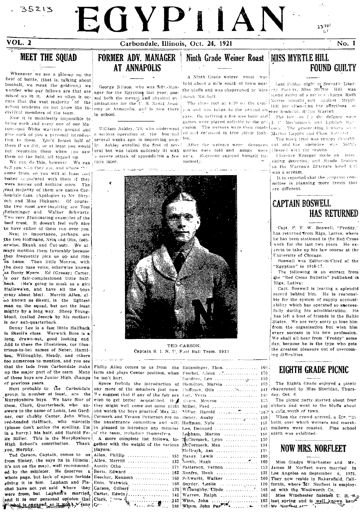35213

VOL. 2

# EGYPIIAN Carbondale, Illinois, Oct. 24, 1921

 $23701$ 

## **MEET THE SOUAD**

Whenever we see a pile-up on the field of battle, (that is, talking about football, we mean the gridiron,) we wonder who our fellows are that are mixed up in it. And so often it occurs that the vast majority of the school students do not know the individual members of the team.

Now it is manifestly impossible to bring each and every one of our Ma-1005-and White warriors around and give each of you a personal introduc-'a serious operation at the hospital tion to them. You'd forget half of them if we did; or at least you would ly. Ashley enrolled the first of sevnot recognize them when you saw them on the field, all togged up.

We can do this, however. We can tell you who they are, and where the come from, so you will at least reel better acquainted with them if they were names and nothing more. The yest majority of them are native Car-

bondale-fans. (Apologies to Mr. Shryock and Miss Hickson). Of course, the two most awe-inspiring are Tom Entsminger and Walker Schwartz. Two very uluminating examples of the beef trust. It doesn't feel very nice to have either of them run over you.

Next in importance, perhaps, are the two Hoffmans, Nvla and Otis, (oth-.erwise. Skunk and Cut-out). We always mention them favorably because they frequently pick us up and ride us heme. Then little Monroe, with the deep bass voice, otherwise known .<br>as Buzzy Myers. Ed (Greasy) Carter, is our fair-complexioned little halfback. (He's going to mask as a girl Hallowe'en, and have all the boys crazy about him). Merritt Allen, also known as Skezil, is the lightest man on the squad, but not the least mighty by a long way. Sheep Youngblood, (called Joseph by his mother) is our sub-quarterback.

Denny Lee is a fast little Halfback in Skezil's class. Warwick Boos is a long, drawn-out, good looking end. Add to these the illustrious, (or illustrious-to-be) names of Neber, Hamilton, Willoughby, Hendy, and others too numerous to mention, and you see that the lads from Carbondale make up the major part of the team. Many of these boys are Junior High, champs he isn't hurt. cf previous years.

Next probably to the Carbondale group, in number at least, are the We suggest that if any of the fair sex Murphysboro boys. We have four of them, Clark, Quarterback, who answers to the name of Louis, Leo Gard- and watch the boys practice. Max Mc ner, our chabby Center, John Winn, red-headed Halfback, who marcells the aquaintance committee and will I (please don't notice the spelling, I'm |ve pleased to introduce any member in a hurry,) his hair, and Harold Fe-Hx Miller. This is the Murphysboro | A more complete list follows, to-High School's contribution. Thank gether with the weight of the various you, Murphy.

Ted Carson, Captain, comes to us from Sisney, the says its in Illinois; it's not on the map). well recommended by the minister. He deserves a whole page, but lack of space forbids giving it to him. Lapham and Fischel have not yet said where they<br>were from, but Lapham's married, and it is our personal opinion that **P Chai is energed, so it won't / Jany** 

### FORMER ADV. MANAGER **AT ANNAPOLIS**

George Wilson, who was Adv.-Manager for the Egyptian last year, passed both the mental and physical ex- Sarah Mitchell. aminations for the U.S. Naval Academy at Annapolis, and is now there in school.

several weeks ago, is improving nice-

eral but was taken suddenly ill with stories were told and songs were leased with the results. a severe attack of appendicitis a few sung. Everyone enjoyed bimself imdays later.



TED CARSON Captain S. I. N. U. Foot Ball Team. 1921

Fhilip Allen comes to us from the E farm and plays Center position, when

and response.

Space forbids the introduction of any more of the members just now. wish to get better acquainted. the they might well come out some night ! Cormack and Vernon Patterson are on 1 of the team, including themselves.

Lavers:

| Allen, Phillip  15                          |  |
|---------------------------------------------|--|
| Allen, Merritt  13                          |  |
| Austin Otho  17                             |  |
| Bevis, Edward  16                           |  |
| Beecher, Kenneth  16                        |  |
| Boos, Warwick  16                           |  |
| Carson, Gilbert  17                         |  |
|                                             |  |
|                                             |  |
| Clark, $\frac{14}{5}$ Clark, $\frac{14}{5}$ |  |
|                                             |  |

| Entsminger, Thos.                                             | 160             |
|---------------------------------------------------------------|-----------------|
| Fischel, Glenn                                                | 170             |
|                                                               | 159             |
| Iamilton, Marvin                                              | 159             |
|                                                               | 141             |
| .ov. Veris                                                    | 140             |
| dvers, Monroe                                                 | 1.5             |
| Miller, Fred                                                  | 140             |
|                                                               |                 |
|                                                               | 159             |
| luffman, Nyle                                                 | 155             |
| les, Dennard                                                  | 145             |
| Apham, Marion                                                 | 180             |
| gcCormack, Lynn                                               | 130             |
| rcormack, Max                                                 | 134             |
| delirath, Asa                                                 | 13 <sup>′</sup> |
| Maxey, Lewis                                                  | 160             |
| $\mathbf{North}, \mathbf{Hugh} \dots \dots \dots \dots \dots$ | 160             |
| Patterson, Vernon                                             | 153             |
| lenfro, Hank                                                  | 135             |
| ehwartz, Walker                                               | 160             |
| Snyder, Leslie                                                | 120             |
| Willoughby, Clyde                                             | 148             |
| Warren. Ralph                                                 | 163             |
|                                                               |                 |

## Ninth Grade Weiner Roast MISS MYRTLE HILL **FOUND GUILTY**

A Ninth Grade weiner roast was

pus and was taken to the ground on ther husband. Relph Warren, cars. On arriving a fire was built and . The lawsers for the defense were

ion.

menselv.

held about a mile south of town near  $\frac{1}{2}$  Last Friday night at Socratic Liter-<br>the bluffs and was chaperoned by Miss ery Society. Miss Myrtle Bill was tound guilty of a serious charge. Ruth The class met at 4:30 on the cam- Nervis brought suit against Mrytle

games were played suitable to the or- | J. C. McCormack and Lyndon Han William Ashley, 24; who underwent, casion. The weiners were then roast-leoch. The prosecuting hiwvers were ed and deflottred in true pichic fash- Marion Lappin and Chas. Suffices

The mock trial was snappy through After the weiners were devoured cut, and the audience was highly

> Clarence Kraeger made an interesting detective, and Maude Bratten as the Warren's illiterate hired girl was a scream.

It is reported that the program committee is planning more treats that are different.

### **CAPTAIN BOSWELL HAS RETURNED**

Capt. F. T. W. Boswell, "Freddy." has returned from Riga, Lativa, where he has been stationed in the Red Cross work for the last two years. He expects to take up his law course at the University of Chicago.

Roswell was Editor-in-Chief of the "Egyptian" in 1916-17.

The following is an extract from the "Red Cross Bulletin" published in Riga, Lativa:

Capt. Boswell is leaving a splendid record behind him. He is responsible for the system of supply accountability which has operated so successfully during his administration. He has left a host of friends in the Baltic States. We are very sorry to lose him from the organization but wish him every success in his new profession. We shall all hear from "Freddy" some day, because he is the type who gets the greatest pleasure out of overcoming difficulties.

### EIGHTH GRADE PICNIC

The Eighth Grade enjoyed a picnic 159 141 chaperoned by Miss Sheridan, Thurs-140 day, Oct. 6.

The picnic party started about four 155 140 o'clock and went to the bluffs about 160- a sylle south of town.

When the crowd arrived, a fire, was 159 built, over which weiners and marsh-155. 145 mallows were roasted. Fine school spirit was exhibited. 180.

### **NOW MRS. NORFLEET**

160 Miss Gladys Winchester and Mr. 153 James M. Norfleet were married in 135 Los Angeles on September 6, 1921. They now reside in Bakersfield, Cali-160  $120$ fornia, where Mr. Norfleet is employed with the Woolworth Co. 148 Miss Winchester finished U. H. S. 163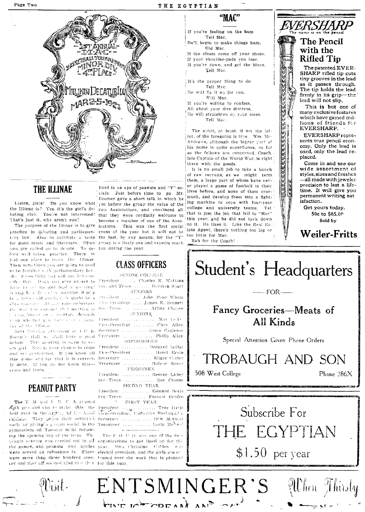



### **THE ILLINAE**

the Illinac is? Yes, it's the girl's de- two Associations, and convinced all bating club. You're not interested? that they were cordially welcome to That's just it, why aren't you?

practice in debating and parliamen- event of the year but it will not be tery law. Also to cultivate a taste the last, by any means, for the "Y" for good music and literature. Often group is a lively one and expects much you are called on to debate. To de- fun during the year. bute well takes practice. There is just one place to learn the Illinae. Then sometimes you are going to need to be familiar with parliamentary law. Mappe you think you will not, but consides this Don't you ever expect to President ...... Charles K. Watkins have to see up and lead a needing" Sec. and Treas. ....... Herman Sparr In may be only and the meeting, it may Le a lectro sid meeting, 9 might he a literalisent the way you conduct that meeting is Sec. Treas. .. r com, liment or a diserger deterois upon whether you were ever a sense. President Ter of the Ellipse

Socratic Hall we shall have a good Treesurer ... debate. This meeting is oven to evcome and learn.

### **PEANUT PARTY**

The Y. M. and Y. W. C. A. started Aith per and vim to make this the President .... ........... Troy Davis best year in the higher, of the Asso- vice-President, Catherine Rechevant ... ciations. They becaus their activities Secretary .............. Dew Marical early by giving a possum social in the Treasurer .............. Lorie McNeal gymnasium on Tuesday night following the opening day of the term. The peanut scheme was corried out in all organizations to get lined up for the the games, and peanuts and apples year. Miss Christine Galden was were served as refreshme is. There elected president, and the girls are en ent and they all secondlighed that they for this year.

Wisit.

lived in an age of peanuts and "Y" socials. Just before time to go Mr. .<br>Iloomer gave a short talk in which he Listen, girls! Do you know what  $\frac{1}{1}$ ut before the group the value of the become a member of one of the Asso-The purpose of the Illinae is to give ications. This was the first social

### **CLASS OFFICERS**

### SENIOR COLLEGE

SENIORS

 $\ldots \ldots \ldots$ John Page Wham club meeting. At any rate (whether). Vice-President .... James E. Bennett ....... Arline Chapee  $_{\rm H/NIORS}$ 

Max $\,$  LeTe Vice-President .......... Chas, Allen Next Toolsday afternoon at 1:17 in Secretary ............ Grace Engleson .. Philip Allen SOPHOMORES

ery girl Now is your chance to come Fresident ............ Bernard Lollar and accreemented. If you know all Vice-President ........ Hazel Ervin this come and see that it is correct- Secretary .............. Edgar Corter ly done. If you do not know this- Treasurer ............ Halene Street FRESHMEN

> President ............. George Lirley Sec.-Treas. ...... Roy Crouse SECOND YEAR

 $\ensuremath{\mathsf{Fresident}}\xspace$  , , , , , , , , , , , , , , Edward Bevis Fec-Treas. Francis Renfro  $\gamma$  = FIRST YEAR

The S=0, P=H, west one of the first were more than three hundred pres- thused over the work that is planned "MAC"

If you're feeling on the bum Tell Mac.

He'll begin to make things hum, Old Mac.

If the cleats come off your shoes, If your shoulder-pads you lose,

If you're down, and get the blues. Tell Mac.

It's the proper thing to do Tell Mac. He will fix it up for you,

Will Mac.

If you're willing to confess,

All about your dire distress, He will straighten up your mess. Tell Mac.

The spirit, at least, if not the letter, of the foregoing is true. Wm. Mc-Andrews, although the bigger part of his name is quite superfluons, as far as the fellows are concerned. Coach. late Captain of the World War, is right there with the goods.

It is no small job to take a bunch of raw recruits, as we might term them, a large part of whom have never played a game of football in their lives before, and none of them overmuch, and develop them into a fighting machine to cope with four-year college and university teams. Yet that is just the job that fell to "Mac" this year, and he did not back down on it. He likes it. Like the Real Estate Agent, there's nothing too big or too little for Mac.

Rah for the Coach!



used, only the lead replaced. Come in and see our wide assortment of styles, sizes and finishes -all made with jeweler precision to last a lifetime. It will give you

permanent writing sat

isfaction. Get yours today. 50c to \$65.00 Sold by

### **Weiler-Fritts**

Student's Headquarters

 $-$  FOR  $-$ 

### Fancy Groceries-Meats of All Kinds

Special Attention Given Phone Orders

TROBAUGH AND SON

508 West College

Phone 286X

# Subscribe For THE EGYPTIAN  $$1.50$  per year

ENTSMINGER'S Vilhen Thirsty ANTE TOWATION AND THAT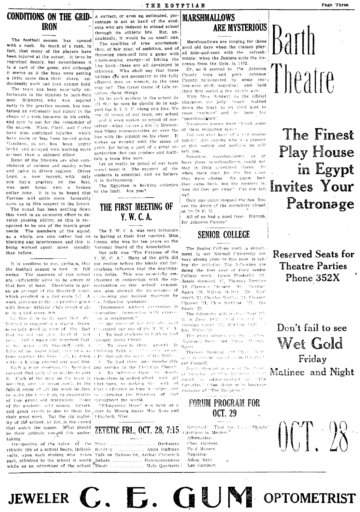### THE EGYPTIAN

**CONDITIONS ON THE GRID-IRON** 

The football season has opened with a rush. So much of a rush, in fact, that many of the players have been injured at the outset. It is to be regretted deeply, but nevertheless it is a part of the game, and although it seems as if the boys were getting a little more than their share, undoubtedly such had luck cannot hold.

The team has been especially unfortunate in the injuries to back-field men. Schwartz, who was injured early in the practice season, has sustained an extremely bad injury in the shape of a torn ligament in his ankle and may be out for the remainder of the season. Winn, Clark, and Carter have also sustained injuries which have more or less been healed since, Hamilton, as yet, has been pretty lucky, and escaped with nothing more scrious than a skinned elbew.

Some of the linemen are also complaining of various and sundry aches and pains in divers regions. Oliver Loyd, a new recruit, with only one day's practice on the field. was sent home with a broken collar bone. It is to be hoped that Fortune will smile more favorably upon us in this respect in the future The squad has been settling down this week in an extensive effort to develop passing ability, as this is recognized to be one of the team's great needs. The members of the squad, as a whole, are also rather bad on blocking and interference, and this is being worked upon; more steadily than before.

the football season is now in full reaching influence that the organizaswing. The students of this school tion holds. This was especially emare sufficiently alive to be aware of that fact, at least. Elsewhere is giv- portunities on this school campus. en an account of the Shurtleff zeme. She also showed the importance of which resulted in a tied score 7-7. A copressing our noblest thoughts by week previous to this a practice game should following quotation: with Sesser Athletic Club resulted alse in a tied score, 0-0.

Ly this is is earlify seen that the Normal is supportive a strong cleven. especially good in view of the fact  $0$ , stated purpose of the Y.W.C. A that we did not play football last year. And it was easily apparent that in the game with Shurtleff, only a ficke of the worst kind, were aten us Christian faith or 1.13 meeter, especfrom sending the beys lock to Alton ( De through the study of the Bible without hoving crossed our goal line

support that each of us is able to give it. of this grand old institution. Some chroughout the world, of the students sold season tickets. and great credit is due to them for duet by Misses Audre May Ross and their good work. But the big major- Flizabeth Wier, ity of the school, by far, is the crowd that watch the games. What should be their attitude toward this undertaking

Irrespective of the value of the Music zthletic life of a school bears, individ- Reading .............. Anna Huffman ually, upon each student who takes Talk on Hallowe'en, Arthur Christoph part, athletics in the school is worth Debate ................ Extemporanious, while as an advertiser of the school. Music ................. Male Quartette

JEWELER  $C. F.$ 

A correct, or even an estimated, percentage is not at hand of the students who are induced to attend school through its athletic life. But, undoubtedly, it would be no small one. The qualities of true sportsmanship, of fair play, of ambition, and of throwing ones-self into a game with ed hide-and-seek with the refreshv.hole-souled energy-of hitting the line hard-these are all developed in athletics. Who shall say that these galities are not necessary to the fully efficient man or woman, as the case may be? The Great Game of Life requires these things.

So let each student in the school do all that he sees he should do to support the S. I. N. U. along this line. We down the track to an ideal spot to ere all proud of our team, our school and it even makes us proud of our-

selves--when we see a stundy Maroonand-White representative go over the line with the pigskin on his chest. It makes us expand with the sense of Tride, for being a part of a great or- at this outing and perfaces he will ganization that can produce and maintain a team like ours.

Let us really be proud of our team and boost it. The support of the stay in their appointed places. So students is essential, and we believe it is forthcoming.

The Egyptian is backing athletics to the limit. Are you?

### THE FIRST MEETING OF Y. W. C. A.

The Y. W. C. A. was very fortunate in having at their first meeting, Miss Greno, who was for ten years on the National Board of the Association.

Her talk was "The Purpose of the Y. W. C. A." Many of the girls did It is needless to say, perhaps, that not realize before the ideals and farthasized in connection with the op-

> "Impression without expression is stagnation: Impression with expres-'on is inspiration."

> in the close of her talk showed To lead students to faith in Cod  $\mathbf{F}$

Grough Jesus Christ To promote their growth In-

To lead them into membe ship  $2 -$ Sach a team deserves the heartlest and service in the Christian Church i. To influence them to devete Each of the men on the team is themselves in united effort, with all working, and we mean work, in the thristians, to making the will of fullest sense of all the word implies. Christ effective in human cociety, and to make the term truly regresentative to extending the Kingdom of God

"Whispering Hope" was sung as a

ZETETIC FRI., OCT. 28, 7:15 Extervels in Mexica.

............ Orchestra

### **MARSHMALLOWS** ARE MYSTERIOUS

Marshmallows are longing for those good old days when the classes playments; when the Juniors stole the icecream from the Gym, in 1492.

Or, so it seemed to the Johnson County boys and girls. Johnson: County, represented by some real; live-wire stuff, organized and held their first social a few nights are.

With Miss Baldwin as the official chaperon, the jolly bunch walked roast "weiners" and to hunt for marshmallows".

Numerous games were 'leyed, some of them requiring speed.

Did you ever hear of a two course lunch? As't anyone who was present tell you.

Somehow. marshmallows, or at least these marshmallows, could not when their time for the fire come they were absent. We know how they came back, but the mystery is. how did they get away? Can you tell  $118?$ 

Only one thing stopped the fun. You see the doors of the dormitory closed at 10:39 P. M.

All of us had a good time. Hurrah, for Johnson County!

### **SENIOR COLLEGE**

The Senior College work, a depart ment in our Normal University not very strong prior to this year, is taking the initiative The fellowing are doing the first year of their senior College work: Grace Frederick '19 Jessie Steward 117, Theresa Dunting '19, Chirence Creager, '19, Herman Sparr '20, Wilson H.Der '20, East Smith '21, Charles Wathin '21, Fleaner Clancey [21, Chos Satterst [21, Ira Beare 21.

The following will recolve their El B. in June,  $1922 \div (9140)$  cannot really Herman Green M7, William Ball Roy White '21.

The class offices are Press Chas Vatkinspl Seey, and Treas. It read  $\mathbf{S}\upmu(\mathbf{r}\mathbf{r})$ 

Theresa Bunting and their Soft gant restream our clink in the Stat ent Connett.

Jessie Slewart is o e of the Director of STPs Escadar Seat  $\text{Smith} = \{s \in \text{editor-in-chif} \leq \alpha\} \cap \text{THE}$ Levidian," Chas. Some st is business manager of "The Egyptian."

FORUM PROGRAM FOR OCT. 29

Resolved: That the i. .. Thousan Affirmative: Chas, Gabbert. Fred Massey. Negative: Adam Reid.

GUIN OPTOMETRIST

Leo Gardner.



Page Three

The Finest **Play House** in Egypt **Invites Your** Patronage

**Reserved Seats for Theatre Parties** Phone 352X

Don't fail to see Wet Gold Friday Matinee and Night

 $00T/8$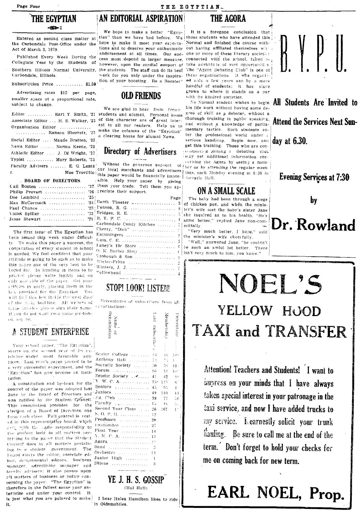### THE EGYPTIAN

Entered as second class matter at the Carbondale Post-Office under the Act of March 3, 1879.

Published Every Week During the Collegiate Year by the Students of however, upon the cordial support of Southern Illisois Normal University, the students. The staff can do its best The "Azora Debating Club" is one of Carbondale, Illinois.

Subscription Price ............ \$1.50

Advertising rates \$12 per page, smaller space at a proportional rate, subject to change.

Organization Editor .............

Social Editor .... Maude Bratten, '22 News Editor ...... Norma Keene, '22 Athletic Editor .... J. Dj Wright, '23 Typist ........... Mary Roberts, '23 Faculty Advisers ....... E. G. Lentz'

### . BOARD OF DIRECTORS

| Cail Boston $27$    |  |
|---------------------|--|
| Philip Provart $26$ |  |
|                     |  |
| Max McCormack  '24  |  |
| Paul Chance  23:    |  |
|                     |  |
| Jesse Stewart $21$  |  |
|                     |  |

The first issue of The Egyptian has leen issued this week under difficulty. To make this paper a success, the cooperation of every student in school is needed. We feel confident that your pititude is going to be such as to make this paper one of the very best to be Loped for. In handing in items to be printed please write legibly and on enly one side of the paper. Get your reffeles in early, placing them in the bey provided for the Egyptian You will find this hex inside the west door of the bink; building. All writers of these articles plen-e sign their name. If you do not want your name publish ed. suv 30.

### A STUDENT ENTERPRISE

Your school paper, "The Egyptian' starts on the second year of its ey istence under most favorable aus pices. Last year's paper proved to b a very successful experiment, and th 'Egyptian" has now become an insti tution

A constitution and hy-laws for th control of the paper was adopted las June by the Board of Directors and was ratified by the Student Council This constitution provides for th clection of a Board of Directors, on from coch class. Full control is vest ed in this representative board, which and with the same responsibility t the student body in all matters per taining to the paper that the Studen Council does in all matters pertain ing to a student government. The hourd elects the editor, associate ed itor, departmental editors, business manager, advertising manager and ternity advisers; it also passes upor ell matters of business or policy con cerning the paper. "The Egyptian" is therefore in the fullest sense your enterprise and under your control. It is just what you are pelased to make it.

### THE EGYPTIAN. AN EDITORIAL ASPIRATION

We hope to make a better "Egyphope to make it meet your expectations and to deserve your enthusiastic endorsement at all times. Our suc- one or more of these literary societies work for you only under the inspiration of your boosting. Be a Booster'

### **OLD FRIENDS**

We are glad to hear from forme Editor ........... Earl Y. Smith, '21 students and alumni. Personal items Associate Editor ... H. S. Walker, '22 of this character are of great interest to all our readers. Help us to ............... Ranson Sherretz, 23 make the columns of the "Egyptian" a clearing house for alumni News.

## Directory of Advertisers

cur local merchants and advertisers ings, each Monday evening at 6:30 in Mae Trovillio this paper would be financially impossible. Help your paper by giving

| them your trade. Tell them you ap- |  |  | .            |
|------------------------------------|--|--|--------------|
| Exerciate their support.           |  |  |              |
|                                    |  |  | $P^{\alpha}$ |

| $\{Barth$ Theater $\ldots, \ldots, \ldots, \ldots, \ldots$ |  |
|------------------------------------------------------------|--|
|                                                            |  |
|                                                            |  |
|                                                            |  |
| Carbondale Candy Kitchen                                   |  |
| Cherry, "Dick"                                             |  |
|                                                            |  |
|                                                            |  |
|                                                            |  |
|                                                            |  |
|                                                            |  |
| Wieler-Fritts $\ldots, \ldots, \ldots, \ldots, \ldots$     |  |
|                                                            |  |
|                                                            |  |
|                                                            |  |

### STOP! LOOK! LISTEN!

Percentages of subscribers from all creanizations:

| rganization<br>Name of                         | $\frac{2}{2}$<br>subseriber | dembership | Absention of the Contract of |
|------------------------------------------------|-----------------------------|------------|------------------------------|
|                                                |                             |            |                              |
| : -<br>; -<br>Senior College                   |                             |            |                              |
| contractor and a series<br>Anthony Hall        | $\uparrow$ $\downarrow$     | U.         | 10                           |
| in a share a she<br>ė                          | 7d                          |            | ı                            |
| Socratic Society<br>e<br> -<br>Forum           | 50                          | 50.        | 10                           |
| and a straight and a straight to               | 16                          | 16         | Į in                         |
| Zetetic Society                                | 41                          | $^{42}$    | ģ,                           |
| Y. W. C. A.<br>ė                               | 755.                        | 115        | $\epsilon_{\rm i}$           |
| Seniors<br>.<br>it                             | 4.5                         | 95         | 4                            |
| Juniors<br>.<br>d                              | -49                         | 110        | $\overline{4}$               |
| $\mathcal{L}$ g. Club<br>ĺ.                    | 39                          | 77         | ă                            |
| Paculty Lesson and State<br>e                  | 15                          | $4 \times$ | à.                           |
| Second Year Class<br>9                         | 26.                         | 167        | $\mathbf{I}$                 |
| S. O. P. H.                                    | 12                          |            |                              |
| $F$ reshmen $\ldots \ldots \ldots \ldots$<br>h | -20                         |            |                              |
| comomore.<br>.<br>Ø                            | $-27$                       |            |                              |
| First Year<br>.                                | $-14$                       |            |                              |
| $\Lambda$ . M. C. $\Lambda$ .<br>t             | 13                          |            |                              |
| Agora<br>.                                     | 1.11                        |            |                              |
| Band<br>.                                      | 5                           |            |                              |
| P<br>Orchestra                                 | 11                          |            |                              |
| Junior High<br>3                               | 1                           |            |                              |
| Illinae<br>. <i>. . . . .</i> .<br>ì           | 3                           |            |                              |
| ì                                              |                             |            |                              |
|                                                |                             |            |                              |
| YE J. H. S. GOSSIP<br>j                        |                             |            |                              |
| (Hal Hall)                                     |                             |            |                              |
|                                                |                             |            |                              |

I hear Helen Hamilton likes to ride in Oldsmobiles.

### THE AGORA

It is a foregone conclusion that tian" than we have had before. We those students who have attended this Normal and finished the course without having affiliated themselves with cess must depend in larger measure, connected with the school, failed to take advantage of vast opportuniti s these organizations. It was organized only a few years ago by a mere handful of students; it has since grown to where it stands on a par with its kindred societies.

No Normal student wishes to begin his life work without having some degree of skill as a debater, without a thorough training in public speaking. and without a knowledge of parliamentary tactics. Such students enter the professional world under a serious handicap. Begin now, and get this training. Those who are concomposing joining a debating club in.ay get additional information concerning the Agora by seeing a mem-Without the generous support of her or by attending the regular meet-Forratic Hull.

### ON A SMALL SCALE

The baby had been through a siege of chicken pox, and when the minister's wife met the baby's sister Jane she inquired as to his health. "He's some better," replied Jane non-committally.

"Very much better, I hope," said the minister's wife cheerfully.

"Well," answered Jane, "he couldn't be such an awful lot better. There isn't very much to him, you know."



All Students Are Invited to **Attend the Services Next Sun-**

day at 6.30.

**Evening Services at 7:30** 

by

## Dr. Rowland

# NOEL'S YELLOW HOOD **TAXI and TRANSFER**

Attention! Teachers and Students! I want to impress on your minds that I have always taken special interest in your patronage in the taxi service, and now I have added trucks to my service. I earnestly solicit your trunk hauling. Be sure to call me at the end of the term. Don't forget to hold your checks for me on coming back for new term.

# EARL NOEL, Prop.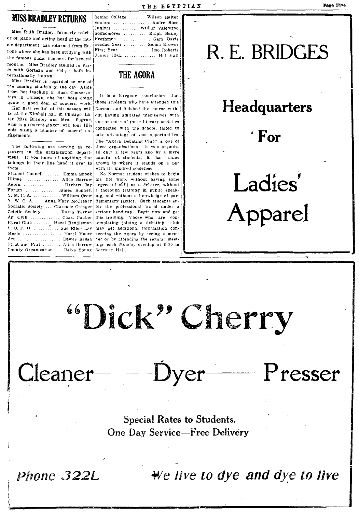**MISS BRADLEY RETURNS** 

Miss Ruth Bradley, formerly teacher of piano and acting head of the mu- Freshmen .............. Gary Davis sic department, has returned from Eu-First Year ............. Imo Roberts rope where she has been studying with Junior High ............. Hal Hall the famous piano teachers for several months. Miss Bradley studied in Paris with Gorteau and Felipe, both internationally known.

Miss Bradley is regarded as one of the coming pianists of the day. Aside from her teaching in Bush Conservatory in Chicago, she has been doing quote a good deal of concern work.

Her first recital of this season will be at the Kimball hall in Chicago. Later Miss Bradley and Mrs. Sugrue. who is a concert singer, will tour Illinois filling a number of concert enragements.

The following are serving as reporters in the organization department. If you know of anything that belongs in their line hand it over to them. Student Council ....... Emma Snook

Illinae .............. Alice Barrow Agora ................. Herbert Jay degree of skill as a debater, without Forum ............. James Bennett a thorough training in public speak-Y. M. C. A. ............ William Crow ing, and without a knowledge of par-Y. W. C. A. ... Anna Mary McCreary Socratic Society ... Clarence Creager Zetetic Society ....... Ralph Turner Ag. Club ............... Chas. Gauber this training. Those who are con-Rural Club ....... Hazel Rendleman templating joining a debating club S. O. P. H. ................ Sue Ellen Ley may get additional information con-Music ................. Hazel Moore cerning the Agora by seeing a mem-Art ................... Dewey Brush ther or by attending the regular meet-Strut and Frat ........ Alice Barrow ings each Monday evening at 6:30 in County Organization ... Belve Young Socratic Hall.

Senior College ....... Wilson Halter Seniors ............... Audre Ross Juniors .......... Wilbur Valentine Sophomores ......... Ralph Bailey Second Year .......... Selma Brewer

### THE AGORA

It is a foregone conclusion that those students who have attended this Normal and finished the course without having affiliated themselves with! one or more of these literary societies connected with the school, failed to take advantage of vast opportunities The "Agora Debating Club" is one of

these organizations. It was organized only a few years ago by a mere handful of students; it has since grown to where it stands on a par with its kindred societies.

No Normal student wishes to begin his life work without having some liamentary tactics. Such students enter the professional world under a serious handicap. Begin now and get

# R. E. BRIDGES

## Headquarters

 $\cdot$  For

Ladies' Apparel

 $\rm P$ resser

# "Dick" Cherry

 $-Dyer$ 

**Special Rates to Students.** One Day Service-Free Delivery

Phone 322L

Cleaner-

We live to dye and dye to live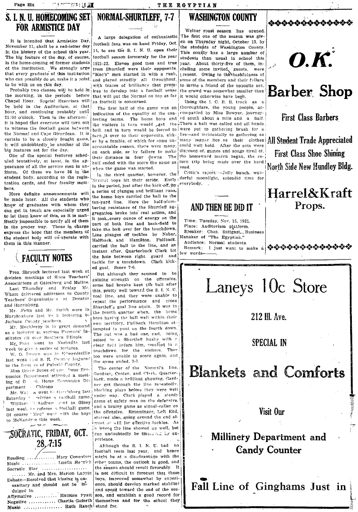Page Six

 $\mathbb{Z}$  )  $\mathbb{Z}$  ,  $\mathbb{Z}$ 

# FOR ARMISTICE DAY . Weiner roast season has opened.

November 11, shall be a red-letter day correct raise on mode of the students of Washington County.<br>in the history of the school this year. 14, to see the S. I. N. U. open their This county has a large number of<br>The big fe The big feature of the day, of course, tootball season formeraly for the year students than usual in school this is the home-coming of former students 1921-22. Eleven good men and true year. About thirty-five of them, inis the home-coming of former students 1921-22. Eleven good men and true year. About thirty-five of them, in-<br>of the institution. We strongly urge from Shurtleff were their opponents. cluding some invited, guests, were of the institution. We strongly urge from Shurtleff were their opponents. eluding some invited, guests, were that every graduate of this institution "Mac's" men started in with a rush, resent. Owing to the bashfulness of that every graduate of this institution  $\begin{bmatrix} 1 & 0 & 0 & 0 & 0 \\ 0 & 0 & 0 & 0 & 0 \\ 0 & 0 & 0 & 0 & 0 \\ 0 & 0 & 0 & 0 & 0 \end{bmatrix}$  are started in with a rush, 1 resent. Owing to the beaching to the members and their failures

Chapel Hour. Special Exercises will as football is concerned. Using the I.C. R. R. track the held in the Auditorium, at that  $\frac{1}{n}$  as football is concerned. be held in the Auditorium, at that The first half of the game was an thoroughfare, the young people, ac-<br>hour, and continuing probably until indication of the equality of the con-icompanied by Miss Bowyer, journeyhour, and continuing probably until indication of the equality of the con- companied by Miss Bowyer, journey-<br>11:00 o'clock. Then in the afternoo, testing teams. The home hoys and ed south about a mile and a half. 11:00 o'clock. Then in the afternoo, testing teams. The home boys and ed south about a mile and a half.<br>It is hoped that everyone will turn out the visitors in turn would get the There a half was called and all hands it is noped that everyone will turn out the visitors in turn would  $\chi$  get the There a halt was called and all hands;<br>to witness the football game between hall and in turn would be forced to were put to gathering brush f to witness the football game between boil, and in turn would be forced to were put to gathering brush for a, the Normal and Cape Girardeau. It is  $|t_1 - t_2|$  and included and the force and incidentally to gathering as the Normal and Cape Girardeau. It is turn it over to their opponents, eith-' fire-and incidentally to gathering as eertain to be a closely fought game.  $\left| \begin{array}{c} a_{\text{F}} & b_{\text{F}} & b_{\text{F}} & b_{\text{F}} & b_{\text{F}} & b_{\text{F}} & b_{\text{F}} & b_{$ extrain to be a closely fought game, each of the er by a fumble, of which for some un- many began lice as their clothes All Student Trade Appreciated<br>big features set for the day.

from. Of these we have 36 in the with the same was surrouted to Critic's report: - Jolly bunch, won-<br>student body, according to the regis and four faculty mem. Nermal boys hit their stride. Early; derful moonlight, splendi tration cards, and four faculty members.

be made later. All the students with the pard line. Here the half-silum-1<br>know of graduates with whom they bering resistance of the Shurtleff ag-<br>can get in touch are especially urged can get in touch are especially urged were reasonable into real action, and<br>to let them know of this, as it is man-<br>it took accept and action of contract  $\alpha$ to let them know of this, as it is man-<br>it took. every ounce of energy on the<br>if still in and both fold to mesury unpossible to notify an of them part of both line and back-field to in the proper way. Those in charge in the proper way. Those in charge take the ball over for the touchdown, express the hope that the members of take the ball over for the touchdown, express the hope that the members of Line plunges off tackles by Neber, the student body will co-operate with  $\frac{1}{10}$  tableable and Hamilton. Fullback the statent body will co-operate with  $\begin{bmatrix} \text{Halfback, and} \\ \text{learning, then in this manner.} \end{bmatrix}$  and  $\begin{bmatrix} \text{full to the line and an} \\ \text{initial, then in the line.} \end{bmatrix}$ 

Pres. Shryock lectured last week at  $\begin{bmatrix} a & b & c \end{bmatrix}$  But although they seemed to be division meetings of State Teachers'  $\begin{bmatrix} a & b & d \end{bmatrix}$ division meetings of state Teachers gaining strength on the offensive.<br>Associations at Galesburg and Moline.  $\frac{1}{2}$  anno had broaks kont the hall after Wham delivered addresses to County unit, pretty were considered to County the County of Teachers' Organizations at Decatur speed the nerformance and close

last week  $\frac{1}{2}$  S. E. Polymer legare; the game ended, 7-7.<br>to the form as of Pulaski County.

partment ('hicago<br>Mr. Wat 'n went to Hore'sburg last

Saturcl~:y --'-ef('ree '~. I().)t.h:.tll game'llllnder way, Clark played a. ste~d.v Inst weel: in referee  $\sim$  football game. and a brainy game as signal-caller on Of course 'Mec" went with the boys the offensive. Entaminger, Left End, to McKendree this week.

# '~OCRAnC, FRiDAY, OCT. I can unr10ubtedly be Iml"" :c~ ;", ex- .. U· , p~l'ience.

Reading  $\ldots$ ,....... Mary Connatser night be at a disadvantage with the Music  $\ldots$ ,.......... Luella Herrich cher teams, the outlook is good, and ...... Mr. and Mrs. Marion Lappin is not difficult to forecast that these Debate-Resolved that kissing is un-<br>boys, improved somewhat by experi-

Mirmative .......... Maurice Pyatt son, and establish a good record for  $\mathbb{R}$ .<br>Negative .............. Charlie Goforth themselves and for the school they  $\mathbb{R}$ .

## S. I. N. U. HOMECOMING SET NORMAL-SHURTLEFF, 7-7 WASHINGTON COUNTY

It is intended that Armistice Day,<br>November 11, shall be a red-letter day<br>November 11, shall be a red-letter day<br> $\begin{bmatrix} 1 & 1 & 1 \\ 1 & 1 & 1 \\ 1 & 1 & 1 \end{bmatrix}$  football fans was on hand Friday, Oct.  $\begin{bmatrix} \text{en} & \text{on} & \text{Thursday night, October$ who can possibly do so, make it a point, and played steadily all throughout, some of the members and their failure<br>to be with us on this day.<br>In traces of brilliancy that prom- to invite a friend of the opposite sex,

in the period, just after the kick-off,  $|by|$  everybody,

a series of plunges and brilliant runs,<br>the home boys carried the ball to the bers.<br>
More definite announcements will a series of plunges and brilliant runs,<br>
be made later. All the students who they the home boys carried the ball to the<br>
know of graduates with whom they ten-yard line. Here the hal carried the ball to the line, and an Instant after, Quarterback Clark hit (FACULTY NOTES the hole between right guard and the for a touchdown, Clark kickthe hole between right guard and ed goal. Score 7-0.

ssociations at Galesburg and Moline. some bad breaks kept the ball after<br>Last Thursday and Friday Mr. this protive well toward the S I N II this, pretty well toward the S. I. N. U. Teachers Organizations and precature repeat the performance and cross<br>and Harrisburg.<br> $S_{\text{Hurflaffi-grad}$  line again. It was in and Harrisburg,  $\begin{bmatrix} \text{Mn} \\ \text{Mn} \end{bmatrix}$ . Felts and Mr. Smith were in  $\begin{bmatrix} \text{Shurther} \\ \text{the fourth number} \end{bmatrix}$  when the lines Mr. .Felts and  $\delta v \in \mathbb{R}$ . Exited were in the fourth quarter when, the home Murphyshoro last  $v \in \mathbb{R}$ . lecturing to home howing the helt wall within their Murphysboro last we k lecturing to boys having the ball well within their<br>Jackson Colling teachers. Jackson ('0;,;l.ty.te.1d!p;·s. \ OWl! territo!,)'. FullhHcl< Hamilton nt-: tempted to punt on the fourth down. as a lecturer at various Farmors'  $\text{In}$ - templed to put on the putter town.<br>stitutes ell over Southern Illinois.<br> $\begin{bmatrix} \text{The put of buffer} \\ \text{neural}, \text{ we a 'Shur of buffer} \\ \text{oneed by } \text{a} \end{bmatrix}$ seized hy a Shurtleff husliy with a  $M_{\rm L}$ . Flurr went to Nashville last sense by a substitution massle with<br>week to give a series of lectures. eek to give a series of lectures.<br>W. O. Jarown was in Edwardsville too were unable to seere again, and too were unable to score again, and

His Grace Jones of  $UW$ . The center of the Normal's line. Gardner, Center, and Clark, Quarternomics Department attended a meet- Gardner, Center, and Clerk, Quarter-<br>ling of  $\hat{U}$ . Home Economics De- head, made a brilliant showing. Gardin frome elementies Se-<br>chicago blocking plays before they were well number of the contrast gives a contrast given a safety man on the defensive.<br>The man of the older of the Olney game at safety game as signal-caller on starred also, going around the end almost at will for effective tackles. As ... whole the line showed up well, but

Although the S. I. N. U. had no football team last year, and hence Music.,.. ),lIella He"rlr!, Nhe" teams, the outlook is good, and I Socratic Star .... , ... , , ,. , , . . the s'eason should reRult favora!bIY.. It I ' ,. , " Mr, and Mrs. Marion I,apple. i. not difficult to forec",st that these Debate-Resolved that kissing is un-<br>sanitary and should not be in-<br>all gougle in.<br>Affirmative .......... Maurice Pyatt son, and establish a good record for

THE EGYPTIAN

g reatures set for the day.<br>One of the special features scheel-<br>the downs and songs tired of the special features scheel-<br>the downs and songs tired of the special features scheel-<br>the downs and the homeward march began the

### AND THEN HE DID IT

Time: Tuesday, Nov. 18, 1921. Place: Auditorium platform. Speaker: Chas. Sattgast, Business Manaker of "The Egyptian." Audience: Normal students.

Remark: I just want to make a ... . few words-



\*\*\*\*\*\*\*\*\*\*\*\*

First Class Barbers

big features set for the day.<br>One of the special features sched-<br>uled tentatively, at least, in the appearance of all the screen in the score the same as the second the special features sched-<br>pearance of all the service m

# Laneys 10c Store

### 212 III. Ave.

### SPECIAL IN

## Blankets and Comforts

### Visit Our

## Millinery Department and Gandy Counter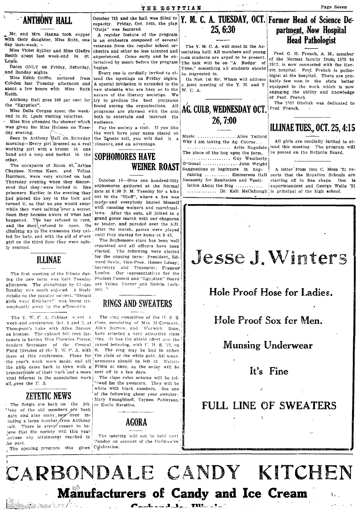Mr. and Mrs. Hanna took supper

day last-week.  $\sim$  Miss Violet Spiller and Miss Gladys Smith spent last week-end in St.

Louis.<br>Dates ONLY on Friday, Saturday. Dates ONLY on Friday, Saturday, begins.<br>and Sunday nights.

Cobden last Tuesday afternoon and A special invitation is extended to the a joint meeting of the Y. M. and Y.  $\begin{bmatrix} \text{vary new men in} & \text{u.e.} \\ \text{equipped in the work which is now} \end{bmatrix}$ 

end in St. Louis visiting relatives.<br>- Miss Rue attended the shower which

end in st. Louis visiting relatives.<br>
Miss Rue attended the shower which audience.<br>
Was given for Miss Holmes on Tues-<br>
The work have your name placed on **ILLINAE TUES., OCT. 25, 4:15** 

morning-Every girl dressed as a real pleasure and an advantage. Why I am taking the Ag. Course... And girls are cordially invited to at-<br>We also all girls are the program will working girl with a broom in one  $\begin{bmatrix} 1 & 1 & 1 \\ 1 & 1 & 1 \\ 1 & 1 & 1 \end{bmatrix}$  will be program with a broom in one  $\begin{bmatrix} 1 & 1 & 1 \\ 1 & 1 & 1 \\ 1 & 1 & 1 \end{bmatrix}$  and and a mon and bucket in the **CARILOREANTS II A UP** hand and a mop and bucket in the SOPHOMORES HAVE The place of the hog upon the farm, our weatherly

Chappee. Norma Keen. and Velma  $\overline{v}$   $\overline{v}$   $\overline{v}$   $\overline{v}$  raising .......... Emmerson Hall prisoners. Earlier in the evening they gate at 6:30 P. M. Tuesday for a hike contract of the McCullough is principal of the high school.<br>had placed the key in the lock and out to the "Bluff", where a fire was that placed the key in the lock and  $\text{h}$  made and everybody busied himself turned it, so that no one would enter with roasting weiners and marshmalwhile they were talking over a secret. With roasting weiners and marshmal-<br>Soon they became aware of what had lows. After the eats, all joined in a Soon they became aware of what had  $\vert$  IOWS. Alter the eats, all joined in a happened. The key refused to turn, grand goose march with our chaperon and the door refused to chaper On a 2 leader, and paradet over the hill. and the door refused to open. On climbing up to the transome they cal-  $A$ fter the march, games were played led for help, and with the aid of  $e$  erry . until they started for home at 9:45.<br>girl on the third floor they were safe. The Sophomore class has been well girl on the third floor they were safely rescued.<br>Iv rescued.

ing the new term was held Tuesday Student Council and "Egyptian" Board afternoon. The pinnalogue by Cl.idys are Velma Turner and Melvin Lock-Bradley was much enjoyed. A lively ard. debate on the popular subject, "Should girls wear Knickers?" was horne tri- $\frac{g}{f}$  and  $\frac{g}{f}$  and  $\frac{g}{f}$  are the affirmative. RINGS AND SWEATERS

The Y. W. C. A. Cabinet spent a The ring committee of the H. S. S. week-end conference, Oct. 1 and 2, at class. consisting of Max McCormack, Thompson's Lake with Alice Barrow Alice Barrow, and Warwick Boos. I<br>as hostess. The cabinet felt very for- have sclected a very attractive class I tunate in having Miss Plorence Pierce, Ting. -It has the shield effect and the Student Secretary of the Central raised lettering, with U. H. S. '22, on Field Division of the Y. W. C. A. with it. The ring may be had in either them at this conference. Plans for the plain or the white gold, All measthe year's work were made, and all urements should be left at  $\sqrt{V_{\text{ciler}}$ . broader view of their work and a more sent off in a few days.<br>vital interest in the association work. The class color scheme will be folthe girls came back to town with a Fritts at once, as the order will be vital interest in the association work

The Zetets are back on the job or Emile Kerstine. "'any of the old members are back .gain and also many, new ones in-Juding a large number from Anthony **AGORA** Hall. There is every reason to be-<br>ieve that the society will this year in the society will this year in the society will this year in the meeting will not be held next jeve that the society will this year || The meeting will not be held next  $\mu$  and  $\mu$  is a second of the Hallowe'en'  $\mu$  account of the Hallowe'en'

The opening program was given Colebration.

**ANTHONY HALL** Subset of the and the ball was filled to **Y. M. C. A. TUESDAY, OCT.** Former Head of Science De-"Ouija" was featured.

with their daughter, Miss Ruth, one is an orchestra composed of several The Y. M. C. A. will meet in the As-<br>day last-week. \ veterans from the regular school or-<br>Miss Violet Spiller and Miss Gladys chestra and other no l A regular feature of the program veterans from the regular school or-<br>chestra and other no less talented and equipment and when and wound chestra and other no less talented and sociation hall. All members and young experienced. Come early and be en-integration students are ursed to be present. experienced. Come early and be  $en$ - inen students are urged to be present.<br>tertained by music before the program The talk will be on "A Budge" of

spent a few hours with Miss Ruth new students who are hazy as to the W. C. A. equipped in the work which is now  $\epsilon$  equipped in the work which is now entitled in the work which is now entitled in the work of the literary Keith.  $\begin{bmatrix} \text{matrix of the literary societies.} \\ \text{matrix of the library societies.} \end{bmatrix}^{\text{in}}$ Anthony Hall goes 100 per cent for try to produce the best programs  $\begin{bmatrix} 01 & \text{P} & \text{P} & \text{P} & \text{P} & \text{P} \\ 0 & 0 & \text{P} & \text{P} & \text{P} \\ 0 & 0 & \text{P} & \text{P} & \text{P} \end{bmatrix}$  for the "Egyptian". found among the organizations. All  $\Delta C$  CUIR WEDNESDAY OF Prof. French.  $M$ is Delia Corgan Spent the week- counter the organizations. All  $\overline{\text{AG. CULB, WEDNESDAY 0CT.}}$  Miss Delia Corgan Spent the week- programs are planned with the aim 1 and in St. Louis visiting relatives.

the work have your name placed on  $\begin{bmatrix} 1 & 0 & 0 \\ 0 & 0 & 0 \\ 0 & 0 & 0 \end{bmatrix}$ . Alice Telford Seen in Anthony Hall on Saturday the Zetetic roll, you will find it a Music .................... Alice Telford All girls are contailly invited to at-<br>norning—Every girl dressed as a real pleasure and an advantage.

elected. The following were elected<br>for the ensuing term: President, Ed-ILINAE for the ensuing term: President, Ed-<br>ward Bevis; Vice-Pres.. Homer Laney; ! Secretary and Treasurer, Frances The first meeting of the Illinae dur- Henfro. Our representatives for the

all over the U.S.  $\qquad \qquad$  '-wed for the sweaters. They will be I White with black numbers. See one of the following about your sweater:<br>ITTETIC NEWS 1 Mary Youngblood, Vernon Patterson,

The talk will be on "A Budge<sup>+</sup> of

other. . ................ Cuy Weatherly I Tbe occupants of Room 45, -Arline WEINER ROAST Ontional ............... John Wflght

# 25, 6:30 **partment**, Now Hospital<br>
Head Pathologist

Prof. G. H. French, A. M., member of the Normal faculty from  $(1879)$  to 1917, is now connected with the Her-<br>rin, hospital. Prof. French is pathond Sunday nights.<br>Miss Edith Griffin motored from tend the meetings on Friday nights. On Nov. 1st Mr. Wham will address bably few men in the state pro-

Harrison, were very excited on last and  $\overline{\text{Hariens}}$  raising ........... Emmerson Hall ports that the Royalton Schools are<br>Harrison, were very excited on last october 18—Over one hundred-fifty Necessity for Sanitation and Thursday evening when they discover a law.<br>Thursday evening when they discovered in the sophomores gathered at the Normal lation About the Hog .......... superintendent and George Wells '21  $\frac{1}{\text{Area of } \text{the}}$  is the sophomores gathered at the Normal lation About the Hog ........... superintendent and George Wells '21 research that they were locked in like sophomores gathered at the Normal lation About the Ho

# Jesse J. Winters

## Hole Proof Hose for Ladies.

Hole Proof Sox fer Men.

### Munsing Underwear

### It's Fine

### FULL LINE OF SWEATERS



## THE EGYPTIAN Page Seven